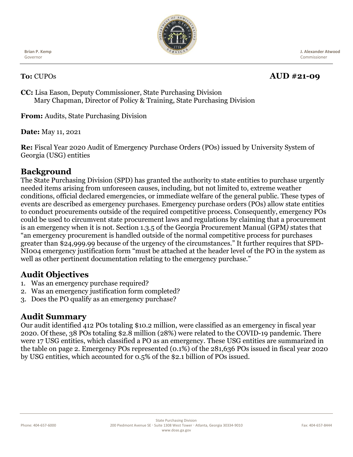

**Brian P. Kemp** Governor

# **To:** CUPOs **AUD #21-09**

 **J. Alexander Atwood** Commissioner

**CC:** Lisa Eason, Deputy Commissioner, State Purchasing Division Mary Chapman, Director of Policy & Training, State Purchasing Division

**From:** Audits, State Purchasing Division

**Date:** May 11, 2021

**Re:** Fiscal Year 2020 Audit of Emergency Purchase Orders (POs) issued by University System of Georgia (USG) entities

#### **Background**

The State Purchasing Division (SPD) has granted the authority to state entities to purchase urgently needed items arising from unforeseen causes, including, but not limited to, extreme weather conditions, official declared emergencies, or immediate welfare of the general public. These types of events are described as emergency purchases. Emergency purchase orders (POs) allow state entities to conduct procurements outside of the required competitive process. Consequently, emergency POs could be used to circumvent state procurement laws and regulations by claiming that a procurement is an emergency when it is not. Section 1.3.5 of the Georgia Procurement Manual (GPM*)* states that "an emergency procurement is handled outside of the normal competitive process for purchases greater than \$24,999.99 because of the urgency of the circumstances." It further requires that SPD-NI004 emergency justification form "must be attached at the header level of the PO in the system as well as other pertinent documentation relating to the emergency purchase."

# **Audit Objectives**

- 1. Was an emergency purchase required?
- 2. Was an emergency justification form completed?
- 3. Does the PO qualify as an emergency purchase?

#### **Audit Summary**

Our audit identified 412 POs totaling \$10.2 million, were classified as an emergency in fiscal year 2020. Of these, 38 POs totaling \$2.8 million (28%) were related to the COVID-19 pandemic. There were 17 USG entities, which classified a PO as an emergency. These USG entities are summarized in the table on page 2. Emergency POs represented (0.1%) of the 281,636 POs issued in fiscal year 2020 by USG entities, which accounted for 0.5% of the \$2.1 billion of POs issued.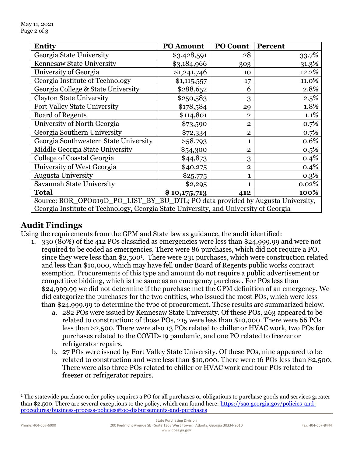| Entity                                                                               | <b>PO Amount</b> | PO Count       | <b>Percent</b> |
|--------------------------------------------------------------------------------------|------------------|----------------|----------------|
| Georgia State University                                                             | \$3,428,591      | 28             | 33.7%          |
| Kennesaw State University                                                            | \$3,184,966      | 303            | 31.3%          |
| University of Georgia                                                                | \$1,241,746      | 10             | 12.2%          |
| Georgia Institute of Technology                                                      | \$1,115,557      | 17             | 11.0%          |
| Georgia College & State University                                                   | \$288,652        | 6              | 2.8%           |
| <b>Clayton State University</b>                                                      | \$250,583        | 3              | 2.5%           |
| Fort Valley State University                                                         | \$178,584        | 29             | 1.8%           |
| <b>Board of Regents</b>                                                              | \$114,801        | $\overline{2}$ | 1.1%           |
| University of North Georgia                                                          | \$73,590         | $\overline{2}$ | 0.7%           |
| Georgia Southern University                                                          | \$72,334         | $\overline{2}$ | 0.7%           |
| Georgia Southwestern State University                                                | \$58,793         | 1              | 0.6%           |
| Middle Georgia State University                                                      | \$54,300         | $\overline{2}$ | 0.5%           |
| College of Coastal Georgia                                                           | \$44,873         | 3              | 0.4%           |
| University of West Georgia                                                           | \$40,275         | $\overline{2}$ | 0.4%           |
| <b>Augusta University</b>                                                            | \$25,775         | 1              | 0.3%           |
| Savannah State University                                                            | \$2,295          | 1              | 0.02%          |
| <b>Total</b>                                                                         | \$10,175,713     | 412            | 100%           |
| Source: BOR_OPO019D_PO_LIST_BY_BU_DTL; PO data provided by Augusta University,       |                  |                |                |
| Georgia Institute of Technology, Georgia State University, and University of Georgia |                  |                |                |

### **Audit Findings**

Using the requirements from the GPM and State law as guidance, the audit identified:

- 1. 330 (80%) of the 412 POs classified as emergencies were less than \$24,999.99 and were not required to be coded as emergencies. There were 86 purchases, which did not require a PO, since they were less than \$2,500<sup>1</sup>. There were 231 purchases, which were construction related and less than \$10,000, which may have fell under Board of Regents public works contract exemption. Procurements of this type and amount do not require a public advertisement or competitive bidding, which is the same as an emergency purchase. For POs less than \$24,999.99 we did not determine if the purchase met the GPM definition of an emergency. We did categorize the purchases for the two entities, who issued the most POs, which were less than \$24,999.99 to determine the type of procurement. These results are summarized below.
	- a. 282 POs were issued by Kennesaw State University. Of these POs, 263 appeared to be related to construction; of those POs, 215 were less than \$10,000. There were 66 POs less than \$2,500. There were also 13 POs related to chiller or HVAC work, two POs for purchases related to the COVID-19 pandemic, and one PO related to freezer or refrigerator repairs.
	- b. 27 POs were issued by Fort Valley State University. Of these POs, nine appeared to be related to construction and were less than \$10,000. There were 16 POs less than \$2,500. There were also three POs related to chiller or HVAC work and four POs related to freezer or refrigerator repairs.

<sup>&</sup>lt;sup>1</sup> The statewide purchase order policy requires a PO for all purchases or obligations to purchase goods and services greater than \$2,500. There are several exceptions to the policy, which can found here: [https://sao.georgia.gov/policies-and](https://sao.georgia.gov/policies-and-procedures/business-process-policies#toc-disbursements-and-purchases)[procedures/business-process-policies#toc-disbursements-and-purchases](https://sao.georgia.gov/policies-and-procedures/business-process-policies#toc-disbursements-and-purchases)